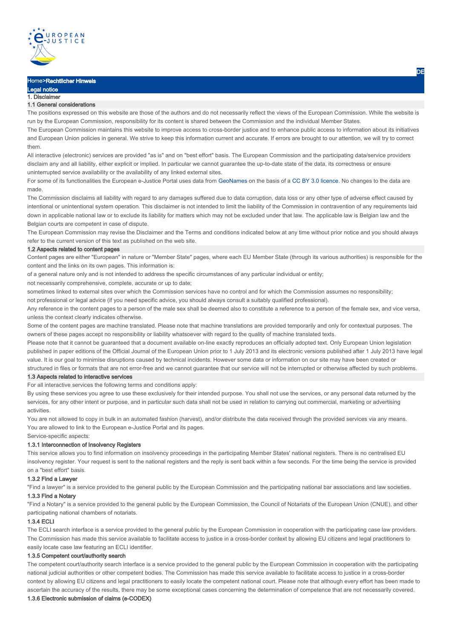

# Home>Rechtlicher Hinweis

#### egal notice 1. Disclaimer

# 1.1 General considerations

The positions expressed on this website are those of the authors and do not necessarily reflect the views of the European Commission. While the website is run by the European Commission, responsibility for its content is shared between the Commission and the individual Member States.

The European Commission maintains this website to improve access to cross-border justice and to enhance public access to information about its initiatives and European Union policies in general. We strive to keep this information current and accurate. If errors are brought to our attention, we will try to correct them.

All interactive (electronic) services are provided "as is" and on "best effort" basis. The European Commission and the participating data/service providers disclaim any and all liability, either explicit or implied. In particular we cannot guarantee the up-to-date state of the data, its correctness or ensure uninterrupted service availability or the availability of any linked external sites.

For some of its functionalities the European e-Justice Portal uses data from GeoNames on the basis of a CC BY 3.0 licence. No changes to the data are made.

The Commission disclaims all liability with regard to any damages suffered due to data corruption, data loss or any other type of adverse effect caused by intentional or unintentional system operation. This disclaimer is not intended to limit the liability of the Commission in contravention of any requirements laid down in applicable national law or to exclude its liability for matters which may not be excluded under that law. The applicable law is Belgian law and the Belgian courts are competent in case of dispute.

The European Commission may revise the Disclaimer and the Terms and conditions indicated below at any time without prior notice and you should always refer to the current version of this text as published on the web site.

#### 1.2 Aspects related to content pages

Content pages are either "European" in nature or "Member State" pages, where each EU Member State (through its various authorities) is responsible for the content and the links on its own pages. This information is:

of a general nature only and is not intended to address the specific circumstances of any particular individual or entity;

not necessarily comprehensive, complete, accurate or up to date;

sometimes linked to external sites over which the Commission services have no control and for which the Commission assumes no responsibility;

not professional or legal advice (if you need specific advice, you should always consult a suitably qualified professional).

Any reference in the content pages to a person of the male sex shall be deemed also to constitute a reference to a person of the female sex, and vice versa, unless the context clearly indicates otherwise.

Some of the content pages are machine translated. Please note that machine translations are provided temporarily and only for contextual purposes. The owners of these pages accept no responsibility or liability whatsoever with regard to the quality of machine translated texts.

Please note that it cannot be guaranteed that a document available on-line exactly reproduces an officially adopted text. Only European Union legislation published in paper editions of the Official Journal of the European Union prior to 1 July 2013 and its electronic versions published after 1 July 2013 have legal value. It is our goal to minimise disruptions caused by technical incidents. However some data or information on our site may have been created or structured in files or formats that are not error-free and we cannot guarantee that our service will not be interrupted or otherwise affected by such problems.

# 1.3 Aspects related to interactive services

For all interactive services the following terms and conditions apply:

By using these services you agree to use these exclusively for their intended purpose. You shall not use the services, or any personal data returned by the services, for any other intent or purpose, and in particular such data shall not be used in relation to carrying out commercial, marketing or advertising activities.

You are not allowed to copy in bulk in an automated fashion (harvest), and/or distribute the data received through the provided services via any means. You are allowed to link to the European e-Justice Portal and its pages.

Service-specific aspects:

# 1.3.1 Interconnection of Insolvency Registers

This service allows you to find information on insolvency proceedings in the participating Member States' national registers. There is no centralised EU insolvency register. Your request is sent to the national registers and the reply is sent back within a few seconds. For the time being the service is provided on a "best effort" basis.

#### 1.3.2 Find a Lawyer

"Find a lawyer" is a service provided to the general public by the European Commission and the participating national bar associations and law societies.

# 1.3.3 Find a Notary

"Find a Notary" is a service provided to the general public by the European Commission, the Council of Notariats of the European Union (CNUE), and other participating national chambers of notariats.

#### 1.3.4 ECLI

The ECLI search interface is a service provided to the general public by the European Commission in cooperation with the participating case law providers. The Commission has made this service available to facilitate access to justice in a cross-border context by allowing EU citizens and legal practitioners to easily locate case law featuring an ECLI identifier.

## 1.3.5 Competent court/authority search

The competent court/authority search interface is a service provided to the general public by the European Commission in cooperation with the participating national judicial authorities or other competent bodies. The Commission has made this service available to facilitate access to justice in a cross-border context by allowing EU citizens and legal practitioners to easily locate the competent national court. Please note that although every effort has been made to ascertain the accuracy of the results, there may be some exceptional cases concerning the determination of competence that are not necessarily covered.

# 1.3.6 Electronic submission of claims (e-CODEX)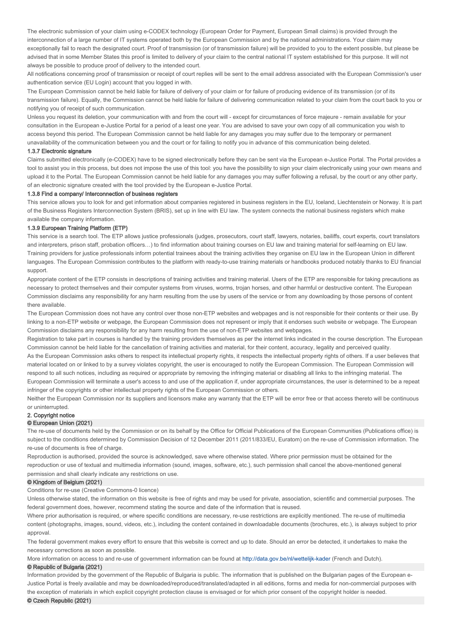The electronic submission of your claim using e-CODEX technology (European Order for Payment, European Small claims) is provided through the interconnection of a large number of IT systems operated both by the European Commission and by the national administrations. Your claim may exceptionally fail to reach the designated court. Proof of transmission (or of transmission failure) will be provided to you to the extent possible, but please be advised that in some Member States this proof is limited to delivery of your claim to the central national IT system established for this purpose. It will not always be possible to produce proof of delivery to the intended court.

All notifications concerning proof of transmission or receipt of court replies will be sent to the email address associated with the European Commission's user authentication service (EU Login) account that you logged in with.

The European Commission cannot be held liable for failure of delivery of your claim or for failure of producing evidence of its transmission (or of its transmission failure). Equally, the Commission cannot be held liable for failure of delivering communication related to your claim from the court back to you or notifying you of receipt of such communication.

Unless you request its deletion, your communication with and from the court will - except for circumstances of force majeure - remain available for your consultation in the European e-Justice Portal for a period of a least one year. You are advised to save your own copy of all communication you wish to access beyond this period. The European Commission cannot be held liable for any damages you may suffer due to the temporary or permanent unavailability of the communication between you and the court or for failing to notify you in advance of this communication being deleted.

# 1.3.7 Electronic signature

Claims submitted electronically (e-CODEX) have to be signed electronically before they can be sent via the European e-Justice Portal. The Portal provides a tool to assist you in this process, but does not impose the use of this tool: you have the possibility to sign your claim electronically using your own means and upload it to the Portal. The European Commission cannot be held liable for any damages you may suffer following a refusal, by the court or any other party, of an electronic signature created with the tool provided by the European e-Justice Portal.

#### 1.3.8 Find a company/ Interconnection of business registers

This service allows you to look for and get information about companies registered in business registers in the EU, Iceland, Liechtenstein or Norway. It is part of the Business Registers Interconnection System (BRIS), set up in line with EU law. The system connects the national business registers which make available the company information.

# 1.3.9 European Training Platform (ETP)

This service is a search tool. The ETP allows justice professionals (judges, prosecutors, court staff, lawyers, notaries, bailiffs, court experts, court translators and interpreters, prison staff, probation officers...) to find information about training courses on EU law and training material for self-learning on EU law. Training providers for justice professionals inform potential trainees about the training activities they organise on EU law in the European Union in different languages. The European Commission contributes to the platform with ready-to-use training materials or handbooks produced notably thanks to EU financial support.

Appropriate content of the ETP consists in descriptions of training activities and training material. Users of the ETP are responsible for taking precautions as necessary to protect themselves and their computer systems from viruses, worms, trojan horses, and other harmful or destructive content. The European Commission disclaims any responsibility for any harm resulting from the use by users of the service or from any downloading by those persons of content there available.

The European Commission does not have any control over those non-ETP websites and webpages and is not responsible for their contents or their use. By linking to a non-ETP website or webpage, the European Commission does not represent or imply that it endorses such website or webpage. The European Commission disclaims any responsibility for any harm resulting from the use of non-ETP websites and webpages.

Registration to take part in courses is handled by the training providers themselves as per the internet links indicated in the course description. The European Commission cannot be held liable for the cancellation of training activities and material, for their content, accuracy, legality and perceived quality. As the European Commission asks others to respect its intellectual property rights, it respects the intellectual property rights of others. If a user believes that material located on or linked to by a survey violates copyright, the user is encouraged to notify the European Commission. The European Commission will respond to all such notices, including as required or appropriate by removing the infringing material or disabling all links to the infringing material. The

European Commission will terminate a user's access to and use of the application if, under appropriate circumstances, the user is determined to be a repeat infringer of the copyrights or other intellectual property rights of the European Commission or others.

Neither the European Commission nor its suppliers and licensors make any warranty that the ETP will be error free or that access thereto will be continuous or uninterrupted.

# 2. Copyright notice

# © European Union (2021)

The re-use of documents held by the Commission or on its behalf by the Office for Official Publications of the European Communities (Publications office) is subject to the conditions determined by Commission Decision of 12 December 2011 (2011/833/EU, Euratom) on the re-use of Commission information. The re-use of documents is free of charge.

Reproduction is authorised, provided the source is acknowledged, save where otherwise stated. Where prior permission must be obtained for the reproduction or use of textual and multimedia information (sound, images, software, etc.), such permission shall cancel the above-mentioned general permission and shall clearly indicate any restrictions on use.

# © Kingdom of Belgium (2021)

Conditions for re-use (Creative Commons-0 licence)

Unless otherwise stated, the information on this website is free of rights and may be used for private, association, scientific and commercial purposes. The federal government does, however, recommend stating the source and date of the information that is reused.

Where prior authorisation is required, or where specific conditions are necessary, re-use restrictions are explicitly mentioned. The re-use of multimedia content (photographs, images, sound, videos, etc.), including the content contained in downloadable documents (brochures, etc.), is always subject to prior approval.

The federal government makes every effort to ensure that this website is correct and up to date. Should an error be detected, it undertakes to make the necessary corrections as soon as possible.

More information on access to and re-use of government information can be found at http://data.gov.be/nl/wettelijk-kader (French and Dutch).

# © Republic of Bulgaria (2021)

Information provided by the government of the Republic of Bulgaria is public. The information that is published on the Bulgarian pages of the European e-Justice Portal is freely available and may be downloaded/reproduced/translated/adapted in all editions, forms and media for non-commercial purposes with the exception of materials in which explicit copyright protection clause is envisaged or for which prior consent of the copyright holder is needed.

© Czech Republic (2021)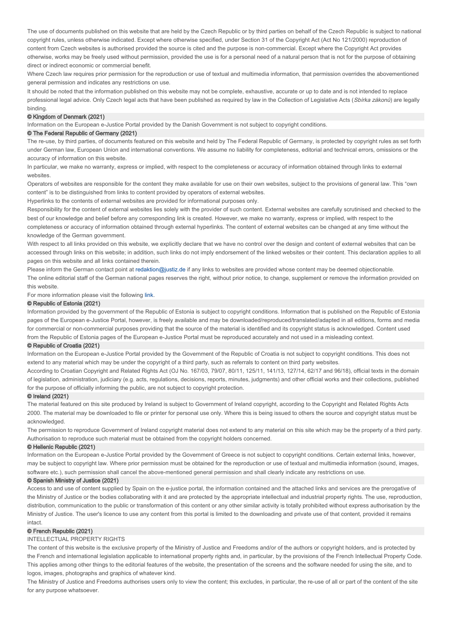The use of documents published on this website that are held by the Czech Republic or by third parties on behalf of the Czech Republic is subject to national copyright rules, unless otherwise indicated. Except where otherwise specified, under Section 31 of the Copyright Act (Act No 121/2000) reproduction of content from Czech websites is authorised provided the source is cited and the purpose is non-commercial. Except where the Copyright Act provides otherwise, works may be freely used without permission, provided the use is for a personal need of a natural person that is not for the purpose of obtaining direct or indirect economic or commercial benefit.

Where Czech law requires prior permission for the reproduction or use of textual and multimedia information, that permission overrides the abovementioned general permission and indicates any restrictions on use.

It should be noted that the information published on this website may not be complete, exhaustive, accurate or up to date and is not intended to replace professional legal advice. Only Czech legal acts that have been published as required by law in the Collection of Legislative Acts (Sbírka zákonů) are legally binding.

#### © Kingdom of Denmark (2021)

Information on the European e-Justice Portal provided by the Danish Government is not subject to copyright conditions.

# © The Federal Republic of Germany (2021)

The re-use, by third parties, of documents featured on this website and held by The Federal Republic of Germany, is protected by copyright rules as set forth under German law, European Union and international conventions. We assume no liability for completeness, editorial and technical errors, omissions or the accuracy of information on this website.

In particular, we make no warranty, express or implied, with respect to the completeness or accuracy of information obtained through links to external websites.

Operators of websites are responsible for the content they make available for use on their own websites, subject to the provisions of general law. This "own content" is to be distinguished from links to content provided by operators of external websites.

Hyperlinks to the contents of external websites are provided for informational purposes only.

Responsibility for the content of external websites lies solely with the provider of such content. External websites are carefully scrutinised and checked to the best of our knowledge and belief before any corresponding link is created. However, we make no warranty, express or implied, with respect to the completeness or accuracy of information obtained through external hyperlinks. The content of external websites can be changed at any time without the knowledge of the German government.

With respect to all links provided on this website, we explicitly declare that we have no control over the design and content of external websites that can be accessed through links on this website; in addition, such links do not imply endorsement of the linked websites or their content. This declaration applies to all pages on this website and all links contained therein.

Please inform the German contact point at redaktion@justiz.de if any links to websites are provided whose content may be deemed objectionable. The online editorial staff of the German national pages reserves the right, without prior notice, to change, supplement or remove the information provided on this website.

For more information please visit the following link.

# © Republic of Estonia (2021)

Information provided by the government of the Republic of Estonia is subject to copyright conditions. Information that is published on the Republic of Estonia pages of the European e-Justice Portal, however, is freely available and may be downloaded/reproduced/translated/adapted in all editions, forms and media for commercial or non-commercial purposes providing that the source of the material is identified and its copyright status is acknowledged. Content used from the Republic of Estonia pages of the European e-Justice Portal must be reproduced accurately and not used in a misleading context.

# © Republic of Croatia (2021)

Information on the European e-Justice Portal provided by the Government of the Republic of Croatia is not subject to copyright conditions. This does not extend to any material which may be under the copyright of a third party, such as referrals to content on third party websites.

According to Croatian Copyright and Related Rights Act (OJ No. 167/03, 79/07, 80/11, 125/11, 141/13, 127/14, 62/17 and 96/18), official texts in the domain of legislation, administration, judiciary (e.g. acts, regulations, decisions, reports, minutes, judgments) and other official works and their collections, published for the purpose of officially informing the public, are not subject to copyright protection.

# © Ireland (2021)

The material featured on this site produced by Ireland is subject to Government of Ireland copyright, according to the Copyright and Related Rights Acts 2000. The material may be downloaded to file or printer for personal use only. Where this is being issued to others the source and copyright status must be acknowledged.

The permission to reproduce Government of Ireland copyright material does not extend to any material on this site which may be the property of a third party. Authorisation to reproduce such material must be obtained from the copyright holders concerned.

#### © Hellenic Republic (2021)

Information on the European e-Justice Portal provided by the Government of Greece is not subject to copyright conditions. Certain external links, however, may be subject to copyright law. Where prior permission must be obtained for the reproduction or use of textual and multimedia information (sound, images, software etc.), such permission shall cancel the above-mentioned general permission and shall clearly indicate any restrictions on use.

# © Spanish Ministry of Justice (2021)

Access to and use of content supplied by Spain on the e-justice portal, the information contained and the attached links and services are the prerogative of the Ministry of Justice or the bodies collaborating with it and are protected by the appropriate intellectual and industrial property rights. The use, reproduction, distribution, communication to the public or transformation of this content or any other similar activity is totally prohibited without express authorisation by the Ministry of Justice. The user's licence to use any content from this portal is limited to the downloading and private use of that content, provided it remains intact.

# © French Republic (2021)

#### INTELLECTUAL PROPERTY RIGHTS

The content of this website is the exclusive property of the Ministry of Justice and Freedoms and/or of the authors or copyright holders, and is protected by the French and international legislation applicable to international property rights and, in particular, by the provisions of the French Intellectual Property Code. This applies among other things to the editorial features of the website, the presentation of the screens and the software needed for using the site, and to logos, images, photographs and graphics of whatever kind.

The Ministry of Justice and Freedoms authorises users only to view the content; this excludes, in particular, the re-use of all or part of the content of the site for any purpose whatsoever.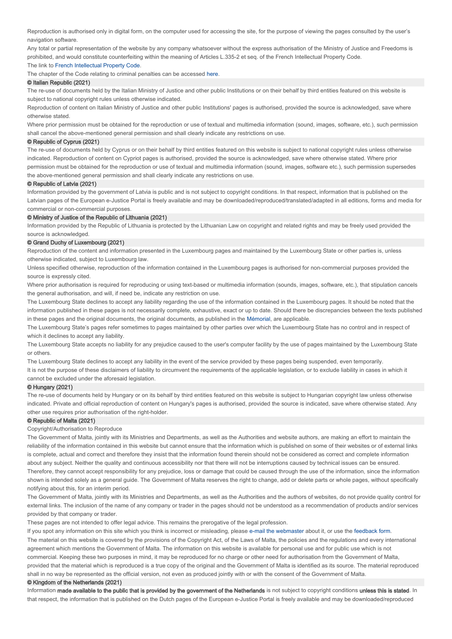Reproduction is authorised only in digital form, on the computer used for accessing the site, for the purpose of viewing the pages consulted by the user's navigation software.

Any total or partial representation of the website by any company whatsoever without the express authorisation of the Ministry of Justice and Freedoms is prohibited, and would constitute counterfeiting within the meaning of Articles L.335-2 et seq. of the French Intellectual Property Code.

#### The link to French Intellectual Property Code.

The chapter of the Code relating to criminal penalties can be accessed here.

#### © Italian Republic (2021)

The re-use of documents held by the Italian Ministry of Justice and other public Institutions or on their behalf by third entities featured on this website is subject to national copyright rules unless otherwise indicated.

Reproduction of content on Italian Ministry of Justice and other public Institutions' pages is authorised, provided the source is acknowledged, save where otherwise stated.

Where prior permission must be obtained for the reproduction or use of textual and multimedia information (sound, images, software, etc.), such permission shall cancel the above-mentioned general permission and shall clearly indicate any restrictions on use.

#### © Republic of Cyprus (2021)

The re-use of documents held by Cyprus or on their behalf by third entities featured on this website is subject to national copyright rules unless otherwise indicated. Reproduction of content on Cypriot pages is authorised, provided the source is acknowledged, save where otherwise stated. Where prior permission must be obtained for the reproduction or use of textual and multimedia information (sound, images, software etc.), such permission supersedes

the above-mentioned general permission and shall clearly indicate any restrictions on use.

## © Republic of Latvia (2021)

Information provided by the government of Latvia is public and is not subject to copyright conditions. In that respect, information that is published on the Latvian pages of the European e-Justice Portal is freely available and may be downloaded/reproduced/translated/adapted in all editions, forms and media for commercial or non-commercial purposes.

#### © Ministry of Justice of the Republic of Lithuania (2021)

Information provided by the Republic of Lithuania is protected by the Lithuanian Law on copyright and related rights and may be freely used provided the source is acknowledged.

#### © Grand Duchy of Luxembourg (2021)

Reproduction of the content and information presented in the Luxembourg pages and maintained by the Luxembourg State or other parties is, unless otherwise indicated, subject to Luxembourg law.

Unless specified otherwise, reproduction of the information contained in the Luxembourg pages is authorised for non-commercial purposes provided the source is expressly cited.

Where prior authorisation is required for reproducing or using text-based or multimedia information (sounds, images, software, etc.), that stipulation cancels the general authorisation, and will, if need be, indicate any restriction on use.

The Luxembourg State declines to accept any liability regarding the use of the information contained in the Luxembourg pages. It should be noted that the information published in these pages is not necessarily complete, exhaustive, exact or up to date. Should there be discrepancies between the texts published in these pages and the original documents, the original documents, as published in the Mémorial, are applicable.

The Luxembourg State's pages refer sometimes to pages maintained by other parties over which the Luxembourg State has no control and in respect of which it declines to accept any liability.

The Luxembourg State accepts no liability for any prejudice caused to the user's computer facility by the use of pages maintained by the Luxembourg State or others.

The Luxembourg State declines to accept any liability in the event of the service provided by these pages being suspended, even temporarily.

It is not the purpose of these disclaimers of liability to circumvent the requirements of the applicable legislation, or to exclude liability in cases in which it cannot be excluded under the aforesaid legislation.

# © Hungary (2021)

The re-use of documents held by Hungary or on its behalf by third entities featured on this website is subject to Hungarian copyright law unless otherwise indicated. Private and official reproduction of content on Hungary's pages is authorised, provided the source is indicated, save where otherwise stated. Any other use requires prior authorisation of the right-holder.

#### © Republic of Malta (2021)

#### Copyright/Authorisation to Reproduce

The Government of Malta, jointly with its Ministries and Departments, as well as the Authorities and website authors, are making an effort to maintain the reliability of the information contained in this website but cannot ensure that the information which is published on some of their websites or of external links is complete, actual and correct and therefore they insist that the information found therein should not be considered as correct and complete information about anv subiect. Neither the quality and continuous accessibility nor that there will not be interruptions caused by technical issues can be ensured. Therefore, they cannot accept responsibility for any prejudice, loss or damage that could be caused through the use of the information, since the information shown is intended solely as a general guide. The Government of Malta reserves the right to change, add or delete parts or whole pages, without specifically notifying about this, for an interim period.

The Government of Malta, jointly with its Ministries and Departments, as well as the Authorities and the authors of websites, do not provide quality control for external links. The inclusion of the name of any company or trader in the pages should not be understood as a recommendation of products and/or services provided by that company or trader.

These pages are not intended to offer legal advice. This remains the prerogative of the legal profession.

If you spot any information on this site which you think is incorrect or misleading, please e-mail the webmaster about it, or use the feedback form. The material on this website is covered by the provisions of the Copyright Act, of the Laws of Malta, the policies and the regulations and every international agreement which mentions the Government of Malta. The information on this website is available for personal use and for public use which is not commercial. Keeping these two purposes in mind, it may be reproduced for no charge or other need for authorisation from the Government of Malta, provided that the material which is reproduced is a true copy of the original and the Government of Malta is identified as its source. The material reproduced shall in no way be represented as the official version, not even as produced jointly with or with the consent of the Government of Malta.

#### © Kingdom of the Netherlands (2021)

Information made available to the public that is provided by the government of the Netherlands is not subject to copyright conditions unless this is stated. In that respect, the information that is published on the Dutch pages of the European e-Justice Portal is freely available and may be downloaded/reproduced